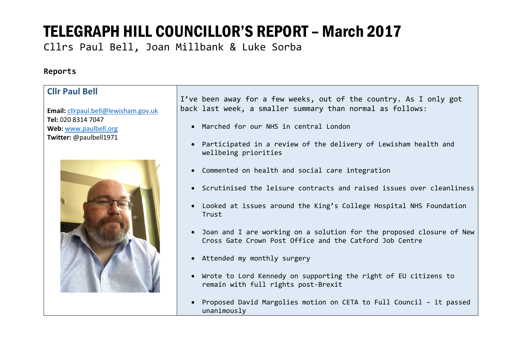Cllrs Paul Bell, Joan Millbank & Luke Sorba

### **Reports**

| <b>Cllr Paul Bell</b>                           | I've been away for a few weeks, out of the country. As I only got                                                                 |
|-------------------------------------------------|-----------------------------------------------------------------------------------------------------------------------------------|
| Email: cllrpaul.bell@lewisham.gov.uk            | back last week, a smaller summary than normal as follows:                                                                         |
| Tel: 020 8314 7047                              | • Marched for our NHS in central London                                                                                           |
| Web: www.paulbell.org<br>Twitter: @paulbell1971 |                                                                                                                                   |
|                                                 | • Participated in a review of the delivery of Lewisham health and<br>wellbeing priorities                                         |
|                                                 | • Commented on health and social care integration                                                                                 |
|                                                 | • Scrutinised the leisure contracts and raised issues over cleanliness                                                            |
|                                                 | • Looked at issues around the King's College Hospital NHS Foundation<br>Trust                                                     |
|                                                 | • Joan and I are working on a solution for the proposed closure of New<br>Cross Gate Crown Post Office and the Catford Job Centre |
|                                                 | • Attended my monthly surgery                                                                                                     |
|                                                 | • Wrote to Lord Kennedy on supporting the right of EU citizens to<br>remain with full rights post-Brexit                          |
|                                                 | • Proposed David Margolies motion on CETA to Full Council - it passed<br>unanimously                                              |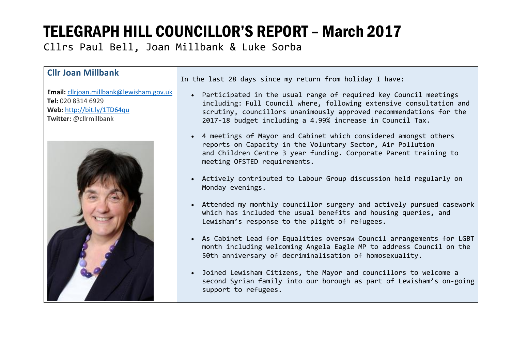Cllrs Paul Bell, Joan Millbank & Luke Sorba

#### **Cllr Joan Millbank**

**Email:** cllrjoan.millbank@lewisham.gov.uk **Tel:** 020 8314 6929 **Web:** http://bit.ly/1TD64qu **Twitter:** @cllrmillbank



In the last 28 days since my return from holiday I have:

- Participated in the usual range of required key Council meetings including: Full Council where, following extensive consultation and scrutiny, councillors unanimously approved recommendations for the 2017-18 budget including a 4.99% increase in Council Tax.
- 4 meetings of Mayor and Cabinet which considered amongst others reports on Capacity in the Voluntary Sector, Air Pollution and Children Centre 3 year funding. Corporate Parent training to meeting OFSTED requirements.
- Actively contributed to Labour Group discussion held regularly on Monday evenings.
- Attended my monthly councillor surgery and actively pursued casework which has included the usual benefits and housing queries, and Lewisham's response to the plight of refugees.
- As Cabinet Lead for Equalities oversaw Council arrangements for LGBT month including welcoming Angela Eagle MP to address Council on the 50th anniversary of decriminalisation of homosexuality.
- Joined Lewisham Citizens, the Mayor and councillors to welcome a second Syrian family into our borough as part of Lewisham's on-going support to refugees.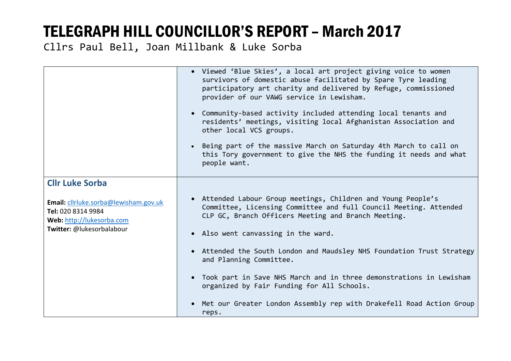Cllrs Paul Bell, Joan Millbank & Luke Sorba

|                                                                                                                       | • Viewed 'Blue Skies', a local art project giving voice to women<br>survivors of domestic abuse facilitated by Spare Tyre leading<br>participatory art charity and delivered by Refuge, commissioned<br>provider of our VAWG service in Lewisham.<br>• Community-based activity included attending local tenants and<br>residents' meetings, visiting local Afghanistan Association and<br>other local VCS groups.<br>• Being part of the massive March on Saturday 4th March to call on<br>this Tory government to give the NHS the funding it needs and what<br>people want. |
|-----------------------------------------------------------------------------------------------------------------------|--------------------------------------------------------------------------------------------------------------------------------------------------------------------------------------------------------------------------------------------------------------------------------------------------------------------------------------------------------------------------------------------------------------------------------------------------------------------------------------------------------------------------------------------------------------------------------|
| <b>Cllr Luke Sorba</b>                                                                                                |                                                                                                                                                                                                                                                                                                                                                                                                                                                                                                                                                                                |
| Email: cllrluke.sorba@lewisham.gov.uk<br>Tel: 020 8314 9984<br>Web: http://lukesorba.com<br>Twitter: @lukesorbalabour | • Attended Labour Group meetings, Children and Young People's<br>Committee, Licensing Committee and full Council Meeting. Attended<br>CLP GC, Branch Officers Meeting and Branch Meeting.                                                                                                                                                                                                                                                                                                                                                                                      |
|                                                                                                                       | • Also went canvassing in the ward.                                                                                                                                                                                                                                                                                                                                                                                                                                                                                                                                            |
|                                                                                                                       | • Attended the South London and Maudsley NHS Foundation Trust Strategy<br>and Planning Committee.                                                                                                                                                                                                                                                                                                                                                                                                                                                                              |
|                                                                                                                       | • Took part in Save NHS March and in three demonstrations in Lewisham<br>organized by Fair Funding for All Schools.                                                                                                                                                                                                                                                                                                                                                                                                                                                            |
|                                                                                                                       | Met our Greater London Assembly rep with Drakefell Road Action Group<br>reps.                                                                                                                                                                                                                                                                                                                                                                                                                                                                                                  |